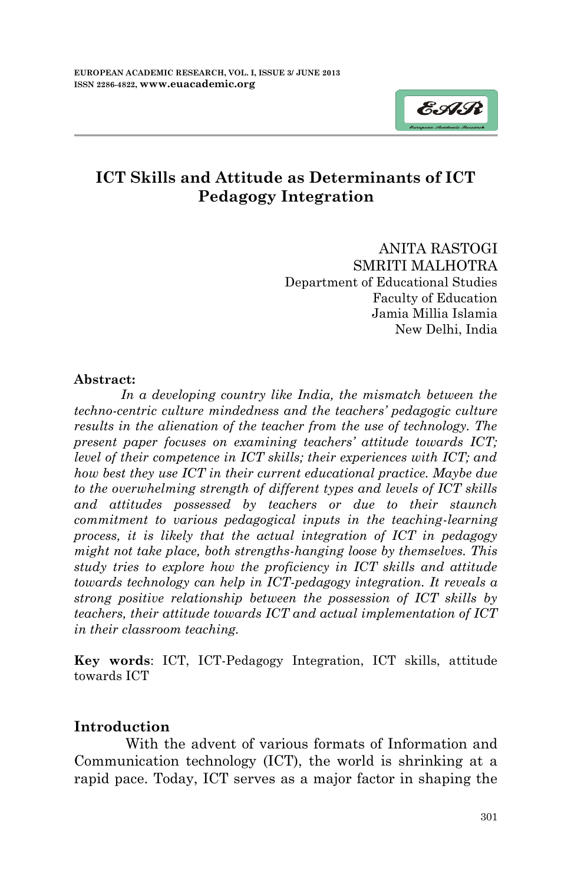

# **ICT Skills and Attitude as Determinants of ICT Pedagogy Integration**

ANITA RASTOGI SMRITI MALHOTRA Department of Educational Studies Faculty of Education Jamia Millia Islamia New Delhi, India

#### **Abstract:**

In a developing country like India, the mismatch between the *techno-centric culture mindedness and the teachers' pedagogic culture results in the alienation of the teacher from the use of technology. The present paper focuses on examining teachers' attitude towards ICT; level of their competence in ICT skills; their experiences with ICT; and how best they use ICT in their current educational practice. Maybe due to the overwhelming strength of different types and levels of ICT skills and attitudes possessed by teachers or due to their staunch commitment to various pedagogical inputs in the teaching-learning process, it is likely that the actual integration of ICT in pedagogy might not take place, both strengths-hanging loose by themselves. This study tries to explore how the proficiency in ICT skills and attitude towards technology can help in ICT-pedagogy integration. It reveals a strong positive relationship between the possession of ICT skills by teachers, their attitude towards ICT and actual implementation of ICT in their classroom teaching.*

**Key words**: ICT, ICT-Pedagogy Integration, ICT skills, attitude towards ICT

#### **Introduction**

 With the advent of various formats of Information and Communication technology (ICT), the world is shrinking at a rapid pace. Today, ICT serves as a major factor in shaping the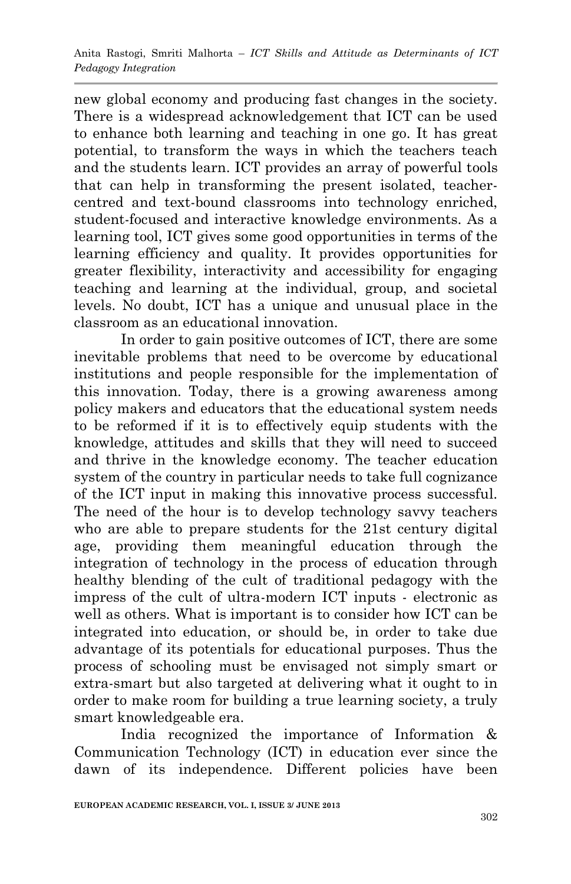new global economy and producing fast changes in the society. There is a widespread acknowledgement that ICT can be used to enhance both learning and teaching in one go. It has great potential, to transform the ways in which the teachers teach and the students learn. ICT provides an array of powerful tools that can help in transforming the present isolated, teachercentred and text-bound classrooms into technology enriched, student-focused and interactive knowledge environments. As a learning tool, ICT gives some good opportunities in terms of the learning efficiency and quality. It provides opportunities for greater flexibility, interactivity and accessibility for engaging teaching and learning at the individual, group, and societal levels. No doubt, ICT has a unique and unusual place in the classroom as an educational innovation.

In order to gain positive outcomes of ICT, there are some inevitable problems that need to be overcome by educational institutions and people responsible for the implementation of this innovation. Today, there is a growing awareness among policy makers and educators that the educational system needs to be reformed if it is to effectively equip students with the knowledge, attitudes and skills that they will need to succeed and thrive in the knowledge economy. The teacher education system of the country in particular needs to take full cognizance of the ICT input in making this innovative process successful. The need of the hour is to develop technology savvy teachers who are able to prepare students for the 21st century digital age, providing them meaningful education through the integration of technology in the process of education through healthy blending of the cult of traditional pedagogy with the impress of the cult of ultra-modern ICT inputs - electronic as well as others. What is important is to consider how ICT can be integrated into education, or should be, in order to take due advantage of its potentials for educational purposes. Thus the process of schooling must be envisaged not simply smart or extra-smart but also targeted at delivering what it ought to in order to make room for building a true learning society, a truly smart knowledgeable era.

India recognized the importance of Information & Communication Technology (ICT) in education ever since the dawn of its independence. Different policies have been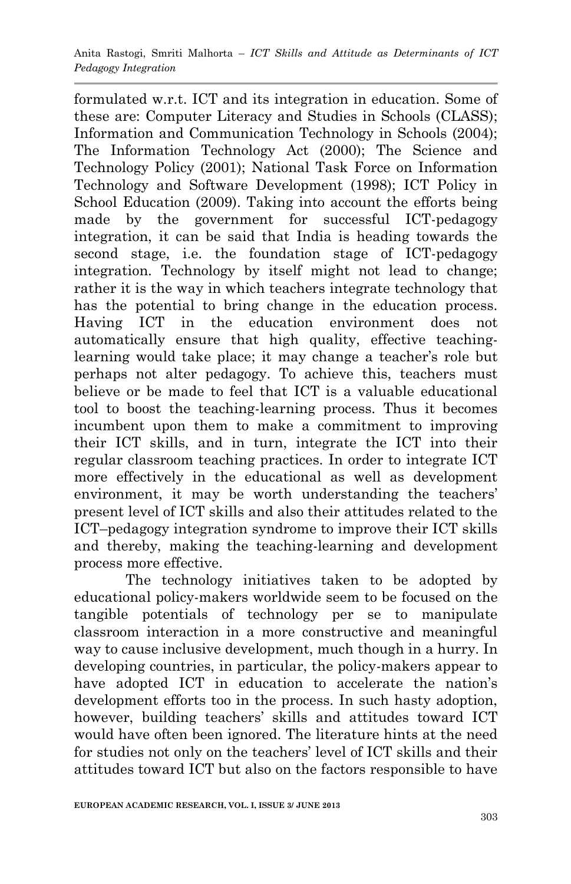formulated w.r.t. ICT and its integration in education. Some of these are: Computer Literacy and Studies in Schools (CLASS); Information and Communication Technology in Schools (2004); The Information Technology Act (2000); The Science and Technology Policy (2001); National Task Force on Information Technology and Software Development (1998); ICT Policy in School Education (2009). Taking into account the efforts being made by the government for successful ICT-pedagogy integration, it can be said that India is heading towards the second stage, i.e. the foundation stage of ICT-pedagogy integration. Technology by itself might not lead to change; rather it is the way in which teachers integrate technology that has the potential to bring change in the education process. Having ICT in the education environment does not automatically ensure that high quality, effective teachinglearning would take place; it may change a teacher's role but perhaps not alter pedagogy. To achieve this, teachers must believe or be made to feel that ICT is a valuable educational tool to boost the teaching-learning process. Thus it becomes incumbent upon them to make a commitment to improving their ICT skills, and in turn, integrate the ICT into their regular classroom teaching practices. In order to integrate ICT more effectively in the educational as well as development environment, it may be worth understanding the teachers' present level of ICT skills and also their attitudes related to the ICT–pedagogy integration syndrome to improve their ICT skills and thereby, making the teaching-learning and development process more effective.

 The technology initiatives taken to be adopted by educational policy-makers worldwide seem to be focused on the tangible potentials of technology per se to manipulate classroom interaction in a more constructive and meaningful way to cause inclusive development, much though in a hurry. In developing countries, in particular, the policy-makers appear to have adopted ICT in education to accelerate the nation's development efforts too in the process. In such hasty adoption, however, building teachers' skills and attitudes toward ICT would have often been ignored. The literature hints at the need for studies not only on the teachers' level of ICT skills and their attitudes toward ICT but also on the factors responsible to have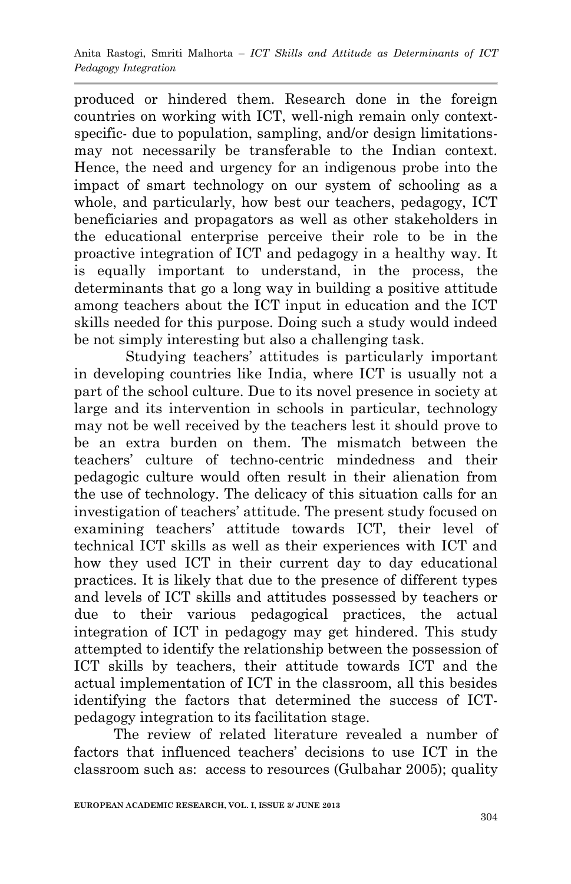produced or hindered them. Research done in the foreign countries on working with ICT, well-nigh remain only contextspecific- due to population, sampling, and/or design limitationsmay not necessarily be transferable to the Indian context. Hence, the need and urgency for an indigenous probe into the impact of smart technology on our system of schooling as a whole, and particularly, how best our teachers, pedagogy, ICT beneficiaries and propagators as well as other stakeholders in the educational enterprise perceive their role to be in the proactive integration of ICT and pedagogy in a healthy way. It is equally important to understand, in the process, the determinants that go a long way in building a positive attitude among teachers about the ICT input in education and the ICT skills needed for this purpose. Doing such a study would indeed be not simply interesting but also a challenging task.

 Studying teachers" attitudes is particularly important in developing countries like India, where ICT is usually not a part of the school culture. Due to its novel presence in society at large and its intervention in schools in particular, technology may not be well received by the teachers lest it should prove to be an extra burden on them. The mismatch between the teachers" culture of techno-centric mindedness and their pedagogic culture would often result in their alienation from the use of technology. The delicacy of this situation calls for an investigation of teachers" attitude. The present study focused on examining teachers' attitude towards ICT, their level of technical ICT skills as well as their experiences with ICT and how they used ICT in their current day to day educational practices. It is likely that due to the presence of different types and levels of ICT skills and attitudes possessed by teachers or due to their various pedagogical practices, the actual integration of ICT in pedagogy may get hindered. This study attempted to identify the relationship between the possession of ICT skills by teachers, their attitude towards ICT and the actual implementation of ICT in the classroom, all this besides identifying the factors that determined the success of ICTpedagogy integration to its facilitation stage.

 The review of related literature revealed a number of factors that influenced teachers' decisions to use ICT in the classroom such as: access to resources (Gulbahar 2005); quality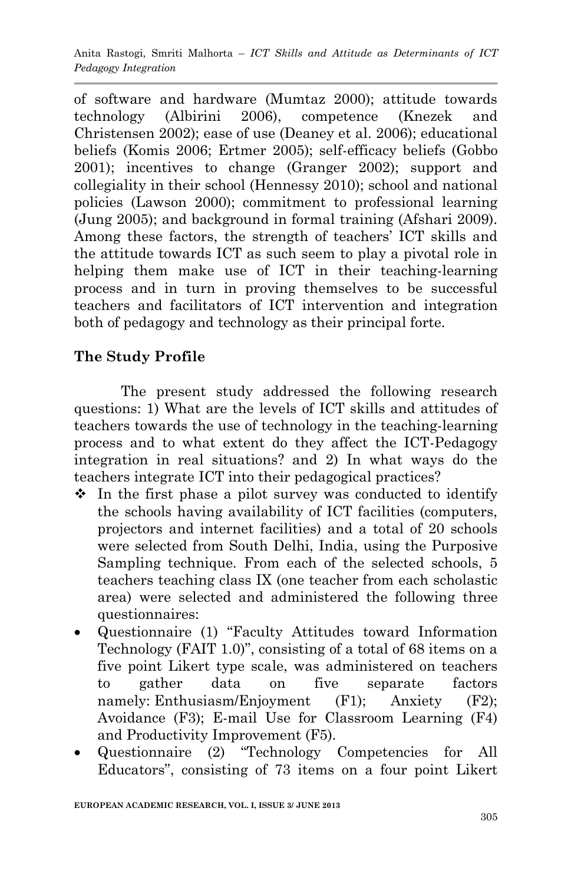of software and hardware (Mumtaz 2000); attitude towards technology (Albirini 2006), competence (Knezek and Christensen 2002); ease of use (Deaney et al. 2006); educational beliefs (Komis 2006; Ertmer 2005); self-efficacy beliefs (Gobbo 2001); incentives to change (Granger 2002); support and collegiality in their school (Hennessy 2010); school and national policies (Lawson 2000); commitment to professional learning (Jung 2005); and background in formal training (Afshari 2009). Among these factors, the strength of teachers' ICT skills and the attitude towards ICT as such seem to play a pivotal role in helping them make use of ICT in their teaching-learning process and in turn in proving themselves to be successful teachers and facilitators of ICT intervention and integration both of pedagogy and technology as their principal forte.

# **The Study Profile**

The present study addressed the following research questions: 1) What are the levels of ICT skills and attitudes of teachers towards the use of technology in the teaching-learning process and to what extent do they affect the ICT-Pedagogy integration in real situations? and 2) In what ways do the teachers integrate ICT into their pedagogical practices?

- $\hat{\cdot}$  In the first phase a pilot survey was conducted to identify the schools having availability of ICT facilities (computers, projectors and internet facilities) and a total of 20 schools were selected from South Delhi, India, using the Purposive Sampling technique. From each of the selected schools, 5 teachers teaching class IX (one teacher from each scholastic area) were selected and administered the following three questionnaires:
- Questionnaire (1) "Faculty Attitudes toward Information Technology (FAIT 1.0)", consisting of a total of 68 items on a five point Likert type scale, was administered on teachers to gather data on five separate factors namely: Enthusiasm/Enjoyment (F1); Anxiety (F2); Avoidance (F3); E-mail Use for Classroom Learning (F4) and Productivity Improvement (F5).
- Questionnaire (2) "Technology Competencies for All Educators", consisting of 73 items on a four point Likert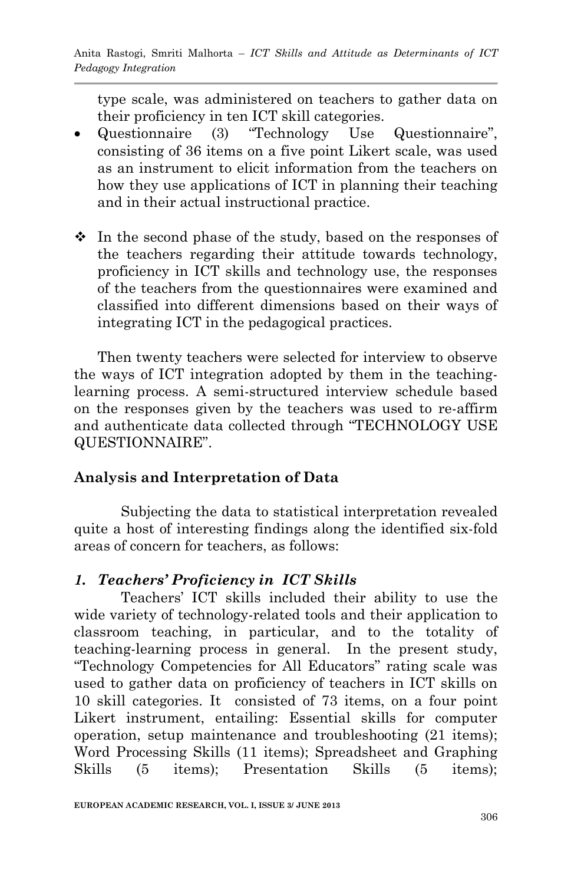type scale, was administered on teachers to gather data on their proficiency in ten ICT skill categories.

- Questionnaire (3) "Technology Use Questionnaire", consisting of 36 items on a five point Likert scale, was used as an instrument to elicit information from the teachers on how they use applications of ICT in planning their teaching and in their actual instructional practice.
- $\div$  In the second phase of the study, based on the responses of the teachers regarding their attitude towards technology, proficiency in ICT skills and technology use, the responses of the teachers from the questionnaires were examined and classified into different dimensions based on their ways of integrating ICT in the pedagogical practices.

Then twenty teachers were selected for interview to observe the ways of ICT integration adopted by them in the teachinglearning process. A semi-structured interview schedule based on the responses given by the teachers was used to re-affirm and authenticate data collected through "TECHNOLOGY USE QUESTIONNAIRE".

## **Analysis and Interpretation of Data**

Subjecting the data to statistical interpretation revealed quite a host of interesting findings along the identified six-fold areas of concern for teachers, as follows:

## *1. Teachers' Proficiency in ICT Skills*

Teachers" ICT skills included their ability to use the wide variety of technology-related tools and their application to classroom teaching, in particular, and to the totality of teaching-learning process in general. In the present study, "Technology Competencies for All Educators" rating scale was used to gather data on proficiency of teachers in ICT skills on 10 skill categories. It consisted of 73 items, on a four point Likert instrument, entailing: Essential skills for computer operation, setup maintenance and troubleshooting (21 items); Word Processing Skills (11 items); Spreadsheet and Graphing Skills (5 items); Presentation Skills (5 items);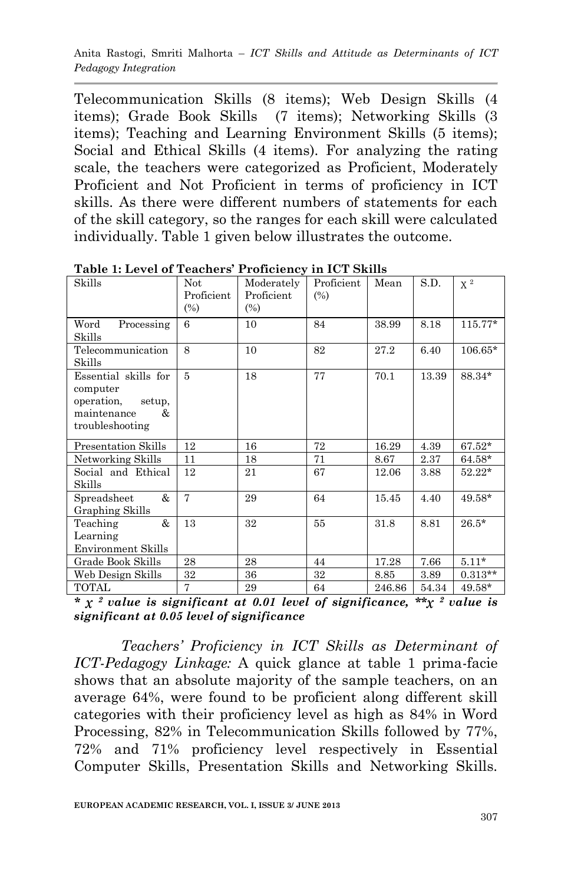Anita Rastogi, Smriti Malhorta – *ICT Skills and Attitude as Determinants of ICT Pedagogy Integration*

Telecommunication Skills (8 items); Web Design Skills (4 items); Grade Book Skills (7 items); Networking Skills (3 items); Teaching and Learning Environment Skills (5 items); Social and Ethical Skills (4 items). For analyzing the rating scale, the teachers were categorized as Proficient, Moderately Proficient and Not Proficient in terms of proficiency in ICT skills. As there were different numbers of statements for each of the skill category, so the ranges for each skill were calculated individually. Table 1 given below illustrates the outcome.

| rabic 1. Level of reachers Troneiency in Ter Danis                                               |                   |                          |                   |        |       |           |
|--------------------------------------------------------------------------------------------------|-------------------|--------------------------|-------------------|--------|-------|-----------|
| Skills                                                                                           | Not<br>Proficient | Moderately<br>Proficient | Proficient<br>(%) | Mean   | S.D.  | $\chi^2$  |
|                                                                                                  | (%)               | $\frac{6}{6}$            |                   |        |       |           |
| Processing<br>Word<br>Skills                                                                     | 6                 | 10                       | 84                | 38.99  | 8.18  | $115.77*$ |
| Telecommunication<br>Skills                                                                      | 8                 | 10                       | 82                | 27.2   | 6.40  | $106.65*$ |
| Essential skills for<br>computer<br>operation.<br>setup,<br>&.<br>maintenance<br>troubleshooting | 5                 | 18                       | 77                | 70.1   | 13.39 | 88.34*    |
| Presentation Skills                                                                              | 12                | 16                       | 72                | 16.29  | 4.39  | $67.52*$  |
| Networking Skills                                                                                | 11                | 18                       | 71                | 8.67   | 2.37  | $64.58*$  |
| Social and Ethical<br>Skills                                                                     | 12                | 21                       | 67                | 12.06  | 3.88  | $52.22*$  |
| &<br>Spreadsheet<br>Graphing Skills                                                              | 7                 | 29                       | 64                | 15.45  | 4.40  | 49.58*    |
| &<br>Teaching<br>Learning<br><b>Environment Skills</b>                                           | 13                | 32                       | 55                | 31.8   | 8.81  | $26.5*$   |
| Grade Book Skills                                                                                | 28                | 28                       | 44                | 17.28  | 7.66  | $5.11*$   |
| Web Design Skills                                                                                | 32                | 36                       | 32                | 8.85   | 3.89  | $0.313**$ |
| TOTAL                                                                                            | 7                 | 29                       | 64                | 246.86 | 54.34 | 49.58*    |

**Table 1: Level of Teachers' Proficiency in ICT Skills**

*\* χ <sup>2</sup>value is significant at 0.01 level of significance, \*\*χ <sup>2</sup>value is significant at 0.05 level of significance*

*Teachers' Proficiency in ICT Skills as Determinant of ICT-Pedagogy Linkage:* A quick glance at table 1 prima-facie shows that an absolute majority of the sample teachers, on an average 64%, were found to be proficient along different skill categories with their proficiency level as high as 84% in Word Processing, 82% in Telecommunication Skills followed by 77%, 72% and 71% proficiency level respectively in Essential Computer Skills, Presentation Skills and Networking Skills.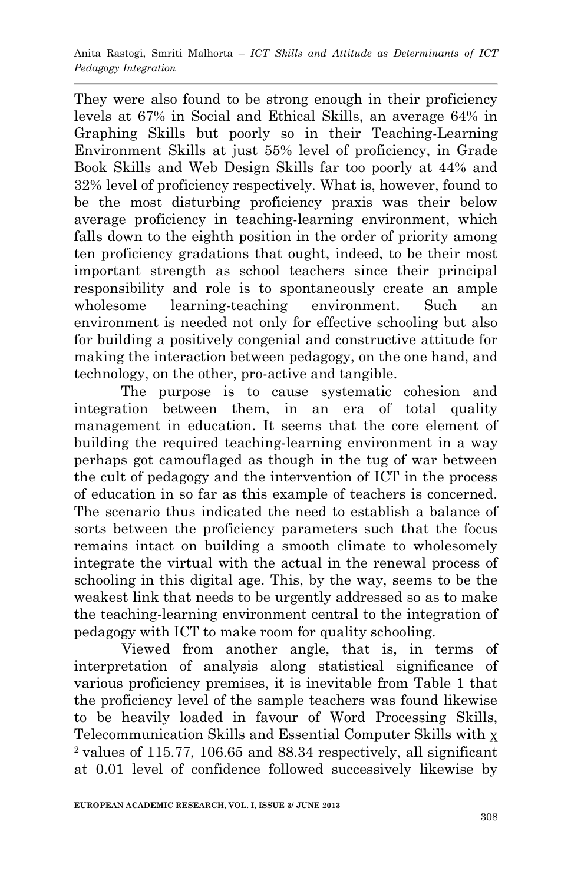They were also found to be strong enough in their proficiency levels at 67% in Social and Ethical Skills, an average 64% in Graphing Skills but poorly so in their Teaching-Learning Environment Skills at just 55% level of proficiency, in Grade Book Skills and Web Design Skills far too poorly at 44% and 32% level of proficiency respectively. What is, however, found to be the most disturbing proficiency praxis was their below average proficiency in teaching-learning environment, which falls down to the eighth position in the order of priority among ten proficiency gradations that ought, indeed, to be their most important strength as school teachers since their principal responsibility and role is to spontaneously create an ample wholesome learning-teaching environment. Such an environment is needed not only for effective schooling but also for building a positively congenial and constructive attitude for making the interaction between pedagogy, on the one hand, and technology, on the other, pro-active and tangible.

The purpose is to cause systematic cohesion and integration between them, in an era of total quality management in education. It seems that the core element of building the required teaching-learning environment in a way perhaps got camouflaged as though in the tug of war between the cult of pedagogy and the intervention of ICT in the process of education in so far as this example of teachers is concerned. The scenario thus indicated the need to establish a balance of sorts between the proficiency parameters such that the focus remains intact on building a smooth climate to wholesomely integrate the virtual with the actual in the renewal process of schooling in this digital age. This, by the way, seems to be the weakest link that needs to be urgently addressed so as to make the teaching-learning environment central to the integration of pedagogy with ICT to make room for quality schooling.

 Viewed from another angle, that is, in terms of interpretation of analysis along statistical significance of various proficiency premises, it is inevitable from Table 1 that the proficiency level of the sample teachers was found likewise to be heavily loaded in favour of Word Processing Skills, Telecommunication Skills and Essential Computer Skills with χ  $2$  values of 115.77, 106.65 and 88.34 respectively, all significant at 0.01 level of confidence followed successively likewise by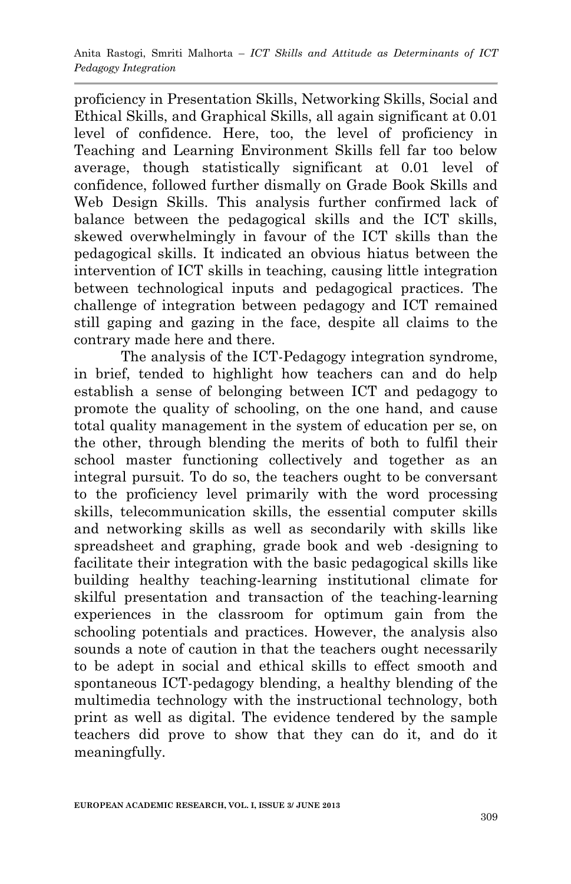proficiency in Presentation Skills, Networking Skills, Social and Ethical Skills, and Graphical Skills, all again significant at 0.01 level of confidence. Here, too, the level of proficiency in Teaching and Learning Environment Skills fell far too below average, though statistically significant at 0.01 level of confidence, followed further dismally on Grade Book Skills and Web Design Skills. This analysis further confirmed lack of balance between the pedagogical skills and the ICT skills, skewed overwhelmingly in favour of the ICT skills than the pedagogical skills. It indicated an obvious hiatus between the intervention of ICT skills in teaching, causing little integration between technological inputs and pedagogical practices. The challenge of integration between pedagogy and ICT remained still gaping and gazing in the face, despite all claims to the contrary made here and there.

The analysis of the ICT-Pedagogy integration syndrome, in brief, tended to highlight how teachers can and do help establish a sense of belonging between ICT and pedagogy to promote the quality of schooling, on the one hand, and cause total quality management in the system of education per se, on the other, through blending the merits of both to fulfil their school master functioning collectively and together as an integral pursuit. To do so, the teachers ought to be conversant to the proficiency level primarily with the word processing skills, telecommunication skills, the essential computer skills and networking skills as well as secondarily with skills like spreadsheet and graphing, grade book and web -designing to facilitate their integration with the basic pedagogical skills like building healthy teaching-learning institutional climate for skilful presentation and transaction of the teaching-learning experiences in the classroom for optimum gain from the schooling potentials and practices. However, the analysis also sounds a note of caution in that the teachers ought necessarily to be adept in social and ethical skills to effect smooth and spontaneous ICT-pedagogy blending, a healthy blending of the multimedia technology with the instructional technology, both print as well as digital. The evidence tendered by the sample teachers did prove to show that they can do it, and do it meaningfully.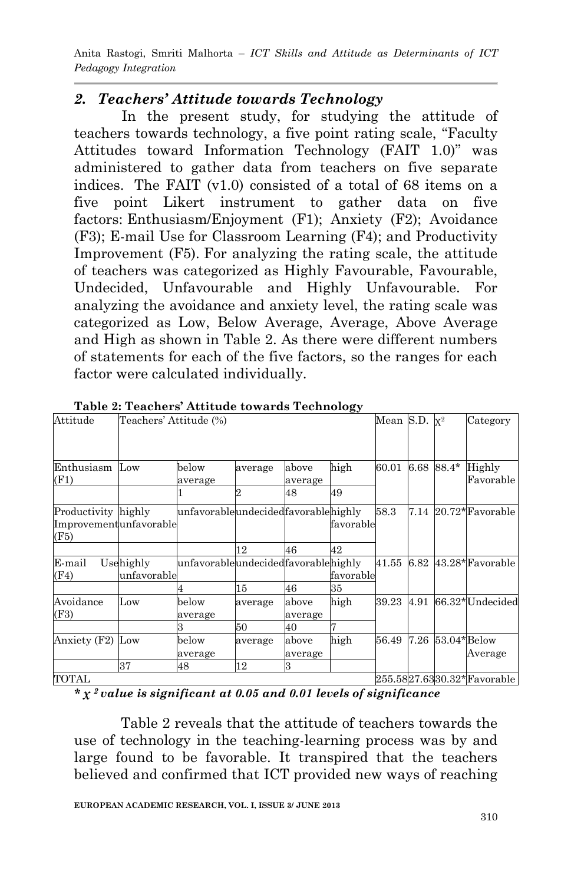Anita Rastogi, Smriti Malhorta – *ICT Skills and Attitude as Determinants of ICT Pedagogy Integration*

### *2. Teachers' Attitude towards Technology*

 In the present study, for studying the attitude of teachers towards technology, a five point rating scale, "Faculty Attitudes toward Information Technology (FAIT 1.0)" was administered to gather data from teachers on five separate indices. The FAIT (v1.0) consisted of a total of 68 items on a five point Likert instrument to gather data on five factors: Enthusiasm/Enjoyment (F1); Anxiety (F2); Avoidance (F3); E-mail Use for Classroom Learning (F4); and Productivity Improvement (F5). For analyzing the rating scale, the attitude of teachers was categorized as Highly Favourable, Favourable, Undecided, Unfavourable and Highly Unfavourable. For analyzing the avoidance and anxiety level, the rating scale was categorized as Low, Below Average, Average, Above Average and High as shown in Table 2. As there were different numbers of statements for each of the five factors, so the ranges for each factor were calculated individually.

| Attitude                                              | $\frac{1}{2}$<br>Teachers' Attitude (%) |                                     |         |                  |           | Mean S.D. $x^2$ |      |                | Category                   |
|-------------------------------------------------------|-----------------------------------------|-------------------------------------|---------|------------------|-----------|-----------------|------|----------------|----------------------------|
|                                                       |                                         |                                     |         |                  |           |                 |      |                |                            |
| Enthusiasm<br>(F1)                                    | Low                                     | below<br>average                    | average | above<br>average | high      | 60.01           | 6.68 | 88.4*          | Highly<br>Favorable        |
|                                                       |                                         |                                     |         | 48               | 49        |                 |      |                |                            |
| Productivity highly<br>Improvementunfavorable<br>(F5) |                                         | unfavorableundecidedfavorablehighly |         |                  | favorable | 58.3            |      |                | $7.14\;20.72*$ Favorable   |
|                                                       |                                         |                                     | 12      | 46               | 42        |                 |      |                |                            |
| E-mail<br>Usehighly<br>(F4)<br>lunfavorable           |                                         | unfavorableundecidedfavorablehighly |         |                  | favorable | 41.55           | 6.82 |                | 43.28*Favorable            |
|                                                       |                                         |                                     | 15      | 46               | 35        |                 |      |                |                            |
| Avoidance<br>(F3)                                     | Low                                     | below<br>average                    | average | above<br>average | high      | 39.23           | 4.91 |                | 66.32*Undecided            |
|                                                       |                                         |                                     | 50      | 40               |           |                 |      |                |                            |
| Anxiety (F2)                                          | Low                                     | below<br>average                    | average | above<br>average | high      | 56.49           | 7.26 | $53.04*$ Below | Average                    |
|                                                       | 37                                      | 48                                  | 12      | з                |           |                 |      |                |                            |
| TOTAL                                                 |                                         |                                     |         |                  |           |                 |      |                | 255.5827.6330.32*Favorable |

**Table 2: Teachers' Attitude towards Technology**

*\* χ <sup>2</sup>value is significant at 0.05 and 0.01 levels of significance*

Table 2 reveals that the attitude of teachers towards the use of technology in the teaching-learning process was by and large found to be favorable. It transpired that the teachers believed and confirmed that ICT provided new ways of reaching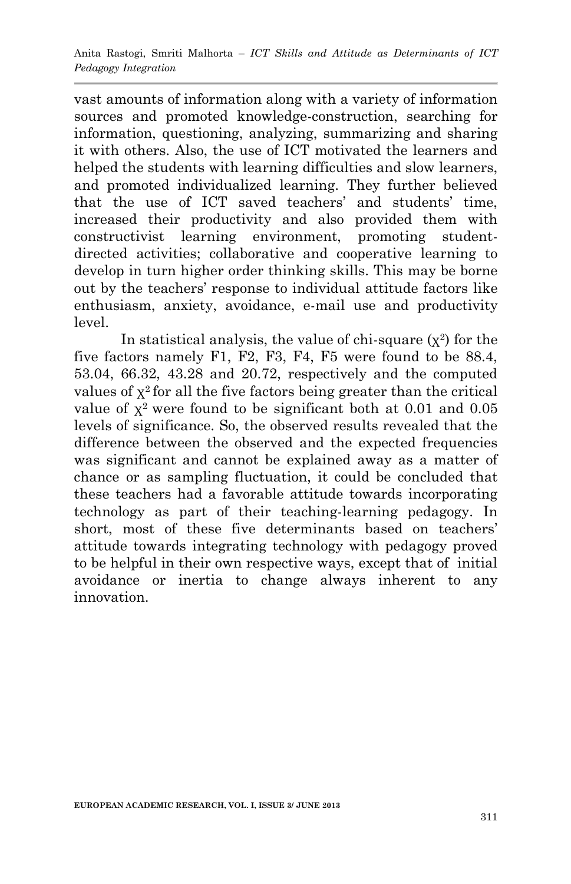vast amounts of information along with a variety of information sources and promoted knowledge-construction, searching for information, questioning, analyzing, summarizing and sharing it with others. Also, the use of ICT motivated the learners and helped the students with learning difficulties and slow learners, and promoted individualized learning. They further believed that the use of ICT saved teachers' and students' time, increased their productivity and also provided them with constructivist learning environment, promoting studentdirected activities; collaborative and cooperative learning to develop in turn higher order thinking skills. This may be borne out by the teachers" response to individual attitude factors like enthusiasm, anxiety, avoidance, e-mail use and productivity level.

In statistical analysis, the value of chi-square  $(\chi^2)$  for the five factors namely F1, F2, F3, F4, F5 were found to be 88.4, 53.04, 66.32, 43.28 and 20.72, respectively and the computed values of  $x^2$  for all the five factors being greater than the critical value of  $\chi^2$  were found to be significant both at 0.01 and 0.05 levels of significance. So, the observed results revealed that the difference between the observed and the expected frequencies was significant and cannot be explained away as a matter of chance or as sampling fluctuation, it could be concluded that these teachers had a favorable attitude towards incorporating technology as part of their teaching-learning pedagogy. In short, most of these five determinants based on teachers' attitude towards integrating technology with pedagogy proved to be helpful in their own respective ways, except that of initial avoidance or inertia to change always inherent to any innovation.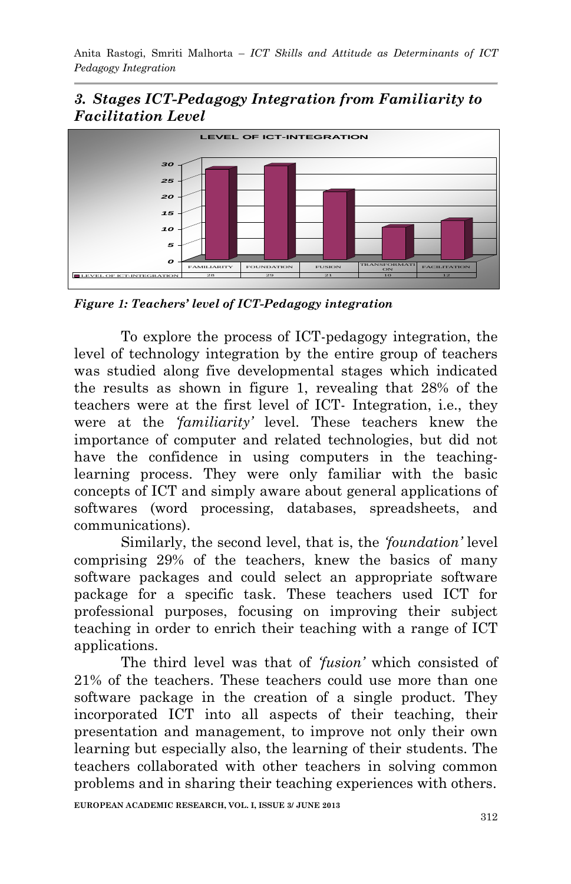## *3. Stages ICT-Pedagogy Integration from Familiarity to Facilitation Level*



*Figure 1: Teachers' level of ICT-Pedagogy integration*

To explore the process of ICT-pedagogy integration, the level of technology integration by the entire group of teachers was studied along five developmental stages which indicated the results as shown in figure 1, revealing that 28% of the teachers were at the first level of ICT- Integration, i.e., they were at the *'familiarity'* level. These teachers knew the importance of computer and related technologies, but did not have the confidence in using computers in the teachinglearning process. They were only familiar with the basic concepts of ICT and simply aware about general applications of softwares (word processing, databases, spreadsheets, and communications).

Similarly, the second level, that is, the *'foundation'* level comprising 29% of the teachers, knew the basics of many software packages and could select an appropriate software package for a specific task. These teachers used ICT for professional purposes, focusing on improving their subject teaching in order to enrich their teaching with a range of ICT applications.

The third level was that of *'fusion'* which consisted of 21% of the teachers. These teachers could use more than one software package in the creation of a single product. They incorporated ICT into all aspects of their teaching, their presentation and management, to improve not only their own learning but especially also, the learning of their students. The teachers collaborated with other teachers in solving common problems and in sharing their teaching experiences with others.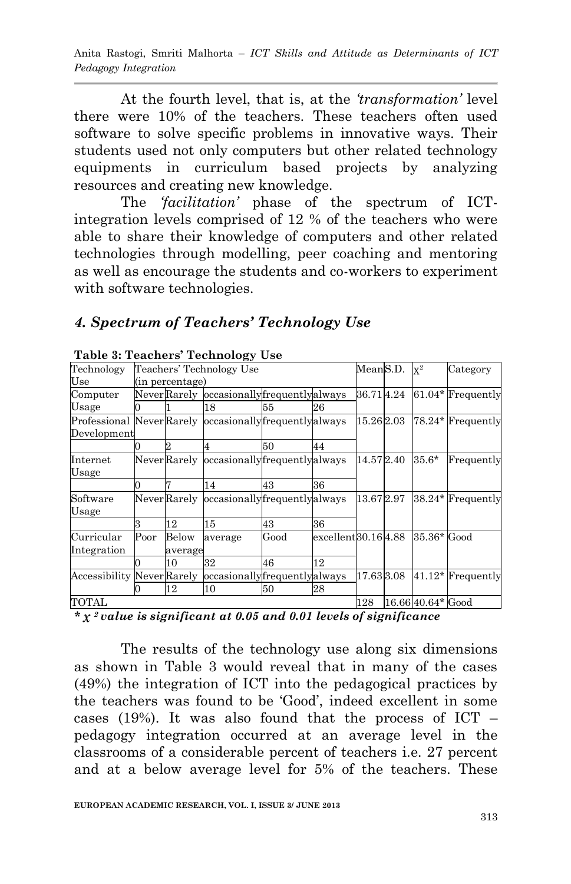Anita Rastogi, Smriti Malhorta – *ICT Skills and Attitude as Determinants of ICT Pedagogy Integration*

At the fourth level, that is, at the *'transformation'* level there were 10% of the teachers. These teachers often used software to solve specific problems in innovative ways. Their students used not only computers but other related technology equipments in curriculum based projects by analyzing resources and creating new knowledge.

The *'facilitation'* phase of the spectrum of ICTintegration levels comprised of 12 % of the teachers who were able to share their knowledge of computers and other related technologies through modelling, peer coaching and mentoring as well as encourage the students and co-workers to experiment with software technologies.

#### *4. Spectrum of Teachers' Technology Use*

| Table 5: Teachers Technology Use                                       |                          |                  |                                          |      |                    |           |                   |                     |
|------------------------------------------------------------------------|--------------------------|------------------|------------------------------------------|------|--------------------|-----------|-------------------|---------------------|
| Technology                                                             | Teachers' Technology Use |                  |                                          |      |                    | MeanS.D.  | $X^2$             | Category            |
| Use                                                                    | (in percentage)          |                  |                                          |      |                    |           |                   |                     |
| Computer                                                               |                          |                  | NeverRarely occasionallyfrequentlyalways |      | 36.714.24          |           | 61.04* Frequently |                     |
| Usage                                                                  |                          |                  | 18                                       | 55   | 26                 |           |                   |                     |
| Professional NeverRarely occasionally frequently always<br>Development |                          |                  |                                          |      |                    | 15.262.03 |                   | 78.24* Frequently   |
|                                                                        |                          |                  |                                          | 50   | 44                 |           |                   |                     |
| Internet<br>Usage                                                      |                          |                  | NeverRarely occasionallyfrequentlyalways |      |                    | 14.572.40 | 35.6*             | Frequently          |
|                                                                        |                          |                  | 14                                       | 43   | 36                 |           |                   |                     |
| Software<br>Usage                                                      |                          |                  | NeverRarely occasionallyfrequentlyalways |      |                    | 13.672.97 |                   | 38.24* Frequently   |
|                                                                        |                          | 12               | 15                                       | 43   | 36                 |           |                   |                     |
| Curricular<br>Integration                                              | $\rm Poor$               | Below<br>average | average                                  | Good | excellent30.164.88 |           | 35.36* Good       |                     |
|                                                                        |                          | 10               | 32                                       | 46   | 12                 |           |                   |                     |
| <b>Accessibility Never Rarely</b>                                      |                          |                  | occasionallyfrequentlyalways             |      |                    | 17.633.08 |                   | $41.12*$ Frequently |
|                                                                        |                          | 12               | 10                                       | 50   | 28                 |           |                   |                     |
| TOTAL                                                                  |                          |                  |                                          |      |                    | 128       | 16.66 40.64* Good |                     |

#### **Table 3: Teachers' Technology Use**

*\* χ <sup>2</sup>value is significant at 0.05 and 0.01 levels of significance*

The results of the technology use along six dimensions as shown in Table 3 would reveal that in many of the cases (49%) the integration of ICT into the pedagogical practices by the teachers was found to be "Good", indeed excellent in some cases (19%). It was also found that the process of  $\text{ICT}$  – pedagogy integration occurred at an average level in the classrooms of a considerable percent of teachers i.e. 27 percent and at a below average level for 5% of the teachers. These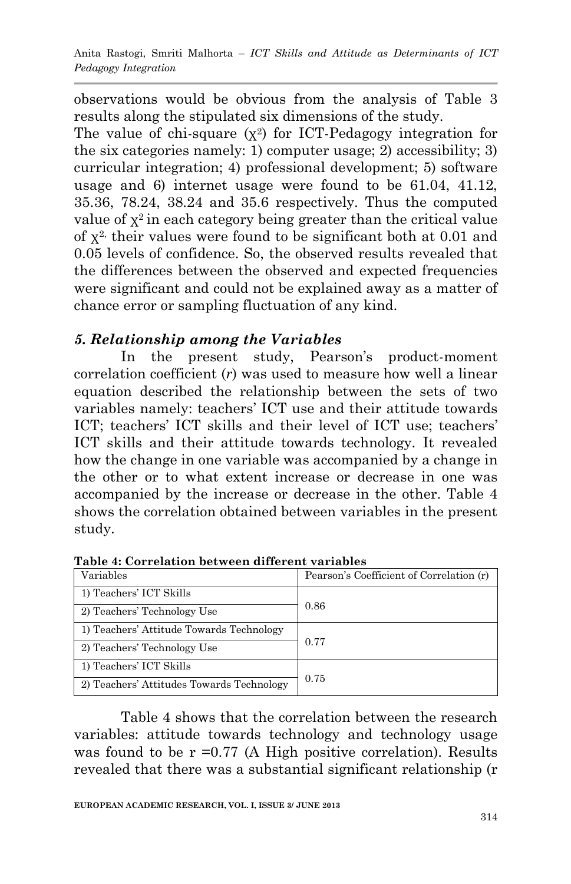observations would be obvious from the analysis of Table 3 results along the stipulated six dimensions of the study.

The value of chi-square  $(x^2)$  for ICT-Pedagogy integration for the six categories namely: 1) computer usage; 2) accessibility; 3) curricular integration; 4) professional development; 5) software usage and 6) internet usage were found to be 61.04, 41.12, 35.36, 78.24, 38.24 and 35.6 respectively. Thus the computed value of  $x^2$  in each category being greater than the critical value of  $x^2$ , their values were found to be significant both at 0.01 and 0.05 levels of confidence. So, the observed results revealed that the differences between the observed and expected frequencies were significant and could not be explained away as a matter of chance error or sampling fluctuation of any kind.

## *5. Relationship among the Variables*

In the present study, Pearson's product-moment correlation coefficient (*r*) was used to measure how well a linear equation described the relationship between the sets of two variables namely: teachers" ICT use and their attitude towards ICT; teachers' ICT skills and their level of ICT use; teachers' ICT skills and their attitude towards technology. It revealed how the change in one variable was accompanied by a change in the other or to what extent increase or decrease in one was accompanied by the increase or decrease in the other. Table 4 shows the correlation obtained between variables in the present study.

| Variables                                 | Pearson's Coefficient of Correlation (r) |  |  |  |
|-------------------------------------------|------------------------------------------|--|--|--|
| 1) Teachers' ICT Skills                   | 0.86                                     |  |  |  |
| 2) Teachers' Technology Use               |                                          |  |  |  |
| 1) Teachers' Attitude Towards Technology  | 0.77                                     |  |  |  |
| 2) Teachers' Technology Use               |                                          |  |  |  |
| 1) Teachers' ICT Skills                   |                                          |  |  |  |
| 2) Teachers' Attitudes Towards Technology | 0.75                                     |  |  |  |

**Table 4: Correlation between different variables**

Table 4 shows that the correlation between the research variables: attitude towards technology and technology usage was found to be  $r = 0.77$  (A High positive correlation). Results revealed that there was a substantial significant relationship (r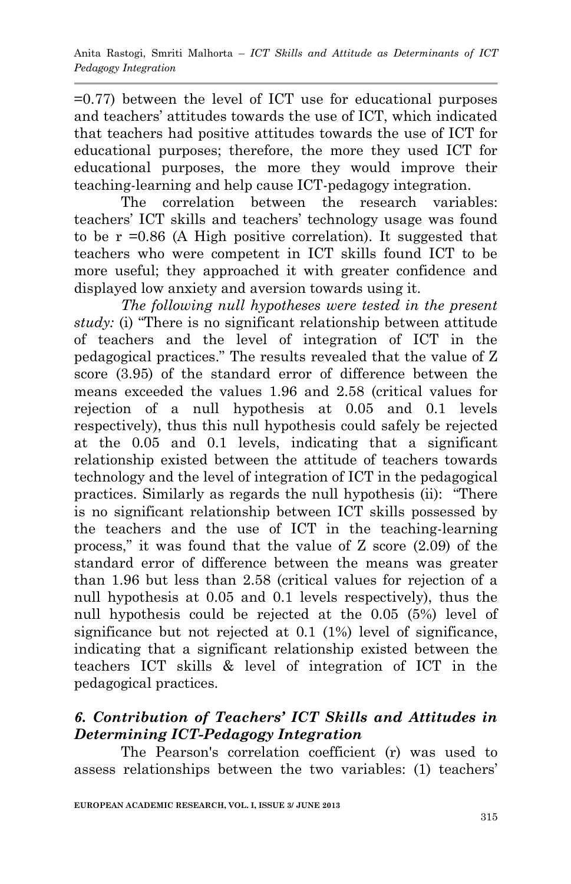=0.77) between the level of ICT use for educational purposes and teachers' attitudes towards the use of ICT, which indicated that teachers had positive attitudes towards the use of ICT for educational purposes; therefore, the more they used ICT for educational purposes, the more they would improve their teaching-learning and help cause ICT-pedagogy integration.

The correlation between the research variables: teachers" ICT skills and teachers" technology usage was found to be  $r = 0.86$  (A High positive correlation). It suggested that teachers who were competent in ICT skills found ICT to be more useful; they approached it with greater confidence and displayed low anxiety and aversion towards using it.

*The following null hypotheses were tested in the present study:* (i) "There is no significant relationship between attitude of teachers and the level of integration of ICT in the pedagogical practices." The results revealed that the value of Z score (3.95) of the standard error of difference between the means exceeded the values 1.96 and 2.58 (critical values for rejection of a null hypothesis at 0.05 and 0.1 levels respectively), thus this null hypothesis could safely be rejected at the 0.05 and 0.1 levels, indicating that a significant relationship existed between the attitude of teachers towards technology and the level of integration of ICT in the pedagogical practices. Similarly as regards the null hypothesis (ii): "There is no significant relationship between ICT skills possessed by the teachers and the use of ICT in the teaching-learning process," it was found that the value of Z score (2.09) of the standard error of difference between the means was greater than 1.96 but less than 2.58 (critical values for rejection of a null hypothesis at 0.05 and 0.1 levels respectively), thus the null hypothesis could be rejected at the 0.05 (5%) level of significance but not rejected at 0.1 (1%) level of significance, indicating that a significant relationship existed between the teachers ICT skills & level of integration of ICT in the pedagogical practices.

## *6. Contribution of Teachers' ICT Skills and Attitudes in Determining ICT-Pedagogy Integration*

The Pearson's correlation coefficient (r) was used to assess relationships between the two variables: (1) teachers"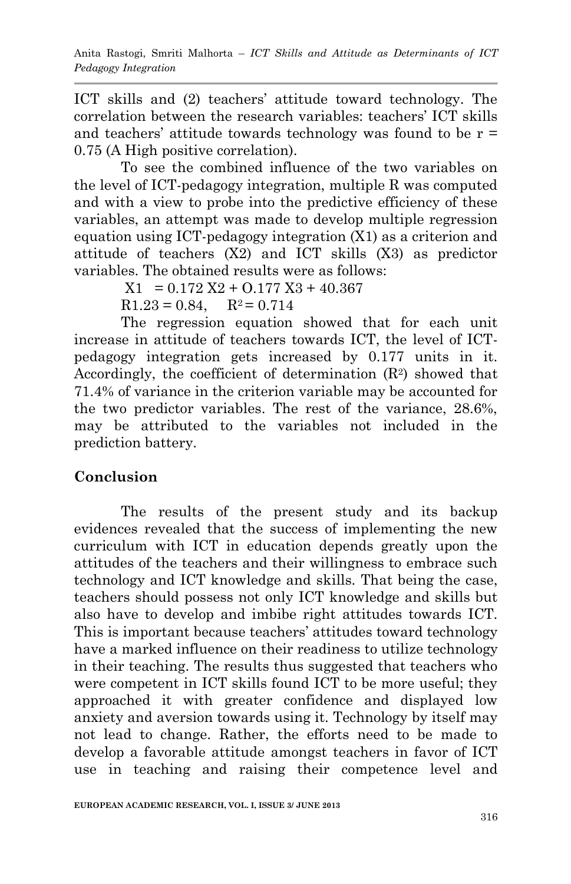ICT skills and (2) teachers' attitude toward technology. The correlation between the research variables: teachers' ICT skills and teachers' attitude towards technology was found to be  $r =$ 0.75 (A High positive correlation).

To see the combined influence of the two variables on the level of ICT-pedagogy integration, multiple R was computed and with a view to probe into the predictive efficiency of these variables, an attempt was made to develop multiple regression equation using ICT-pedagogy integration (X1) as a criterion and attitude of teachers (X2) and ICT skills (X3) as predictor variables. The obtained results were as follows:

 $X1 = 0.172 X2 + 0.177 X3 + 40.367$ 

 $R1.23 = 0.84, R^2 = 0.714$ 

The regression equation showed that for each unit increase in attitude of teachers towards ICT, the level of ICTpedagogy integration gets increased by 0.177 units in it. Accordingly, the coefficient of determination  $(R^2)$  showed that 71.4% of variance in the criterion variable may be accounted for the two predictor variables. The rest of the variance, 28.6%, may be attributed to the variables not included in the prediction battery.

## **Conclusion**

The results of the present study and its backup evidences revealed that the success of implementing the new curriculum with ICT in education depends greatly upon the attitudes of the teachers and their willingness to embrace such technology and ICT knowledge and skills. That being the case, teachers should possess not only ICT knowledge and skills but also have to develop and imbibe right attitudes towards ICT. This is important because teachers' attitudes toward technology have a marked influence on their readiness to utilize technology in their teaching. The results thus suggested that teachers who were competent in ICT skills found ICT to be more useful; they approached it with greater confidence and displayed low anxiety and aversion towards using it. Technology by itself may not lead to change. Rather, the efforts need to be made to develop a favorable attitude amongst teachers in favor of ICT use in teaching and raising their competence level and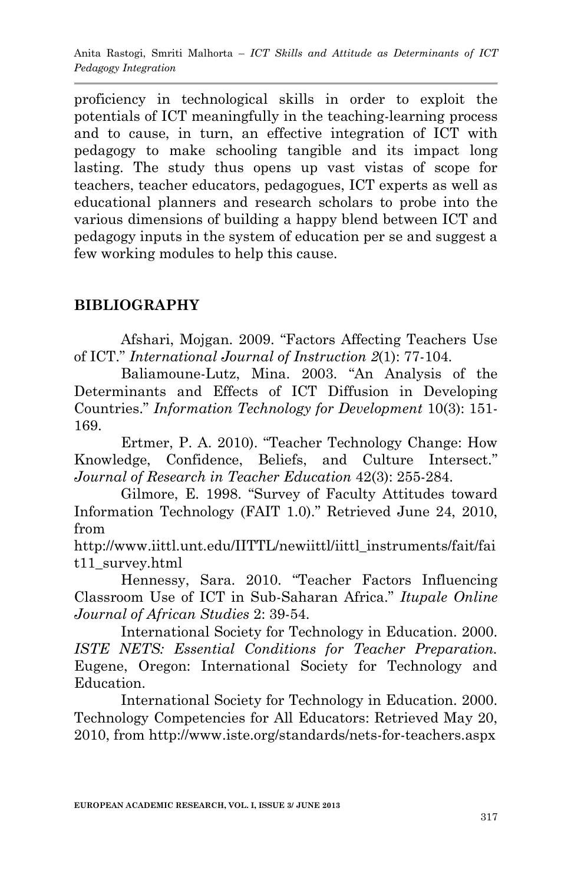proficiency in technological skills in order to exploit the potentials of ICT meaningfully in the teaching-learning process and to cause, in turn, an effective integration of ICT with pedagogy to make schooling tangible and its impact long lasting. The study thus opens up vast vistas of scope for teachers, teacher educators, pedagogues, ICT experts as well as educational planners and research scholars to probe into the various dimensions of building a happy blend between ICT and pedagogy inputs in the system of education per se and suggest a few working modules to help this cause.

## **BIBLIOGRAPHY**

Afshari, Mojgan. 2009. "Factors Affecting Teachers Use of ICT." *International Journal of Instruction 2*(1): 77-104.

Baliamoune-Lutz, Mina. 2003. "An Analysis of the Determinants and Effects of ICT Diffusion in Developing Countries." *Information Technology for Development* 10(3): 151- 169.

Ertmer, P. A. 2010). "Teacher Technology Change: How Knowledge, Confidence, Beliefs, and Culture Intersect." *Journal of Research in Teacher Education* 42(3): 255-284.

Gilmore, E. 1998. "Survey of Faculty Attitudes toward Information Technology (FAIT 1.0)." Retrieved June 24, 2010, from

[http://www.iittl.unt.edu/IITTL/newiittl/iittl\\_instruments/fait/fai](http://www.iittl.unt.edu/IITTL/newiittl/iittl_instruments/fait/fait11_survey.html) [t11\\_survey.html](http://www.iittl.unt.edu/IITTL/newiittl/iittl_instruments/fait/fait11_survey.html)

Hennessy, Sara. 2010. "Teacher Factors Influencing Classroom Use of ICT in Sub-Saharan Africa." *Itupale Online Journal of African Studies* 2: 39-54.

International Society for Technology in Education. 2000. *ISTE NETS: Essential Conditions for Teacher Preparation.* Eugene, Oregon: International Society for Technology and Education.

International Society for Technology in Education. 2000. Technology Competencies for All Educators: Retrieved May 20, 2010, from<http://www.iste.org/standards/nets-for-teachers.aspx>